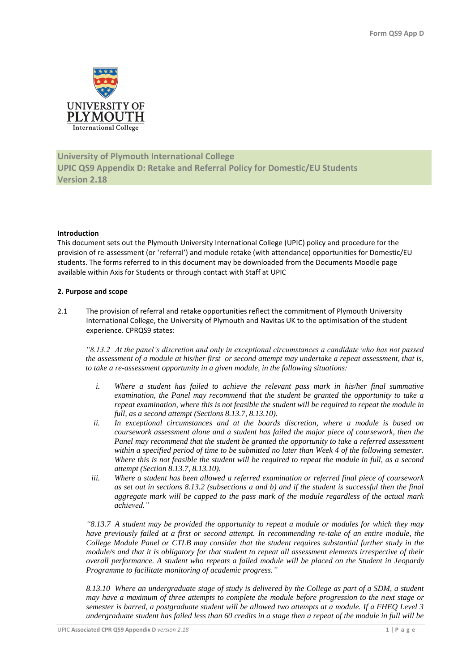

# **University of Plymouth International College UPIC QS9 Appendix D: Retake and Referral Policy for Domestic/EU Students Version 2.18**

### **Introduction**

This document sets out the Plymouth University International College (UPIC) policy and procedure for the provision of re-assessment (or 'referral') and module retake (with attendance) opportunities for Domestic/EU students. The forms referred to in this document may be downloaded from the Documents Moodle page available within Axis for Students or through contact with Staff at UPIC

## **2. Purpose and scope**

2.1 The provision of referral and retake opportunities reflect the commitment of Plymouth University International College, the University of Plymouth and Navitas UK to the optimisation of the student experience. CPRQS9 states:

*"8.13.2 At the panel's discretion and only in exceptional circumstances a candidate who has not passed the assessment of a module at his/her first or second attempt may undertake a repeat assessment, that is, to take a re-assessment opportunity in a given module, in the following situations:*

- *i. Where a student has failed to achieve the relevant pass mark in his/her final summative examination, the Panel may recommend that the student be granted the opportunity to take a repeat examination, where this is not feasible the student will be required to repeat the module in full, as a second attempt (Sections 8.13.7, 8.13.10).*
- *ii. In exceptional circumstances and at the boards discretion, where a module is based on coursework assessment alone and a student has failed the major piece of coursework, then the Panel may recommend that the student be granted the opportunity to take a referred assessment within a specified period of time to be submitted no later than Week 4 of the following semester. Where this is not feasible the student will be required to repeat the module in full, as a second attempt (Section 8.13.7, 8.13.10).*
- *iii. Where a student has been allowed a referred examination or referred final piece of coursework as set out in sections 8.13.2 (subsections a and b) and if the student is successful then the final aggregate mark will be capped to the pass mark of the module regardless of the actual mark achieved."*

*"8.13.7 A student may be provided the opportunity to repeat a module or modules for which they may have previously failed at a first or second attempt. In recommending re-take of an entire module, the College Module Panel or CTLB may consider that the student requires substantial further study in the module/s and that it is obligatory for that student to repeat all assessment elements irrespective of their overall performance. A student who repeats a failed module will be placed on the Student in Jeopardy Programme to facilitate monitoring of academic progress."*

*8.13.10 Where an undergraduate stage of study is delivered by the College as part of a SDM, a student may have a maximum of three attempts to complete the module before progression to the next stage or semester is barred, a postgraduate student will be allowed two attempts at a module. If a FHEQ Level 3 undergraduate student has failed less than 60 credits in a stage then a repeat of the module in full will be*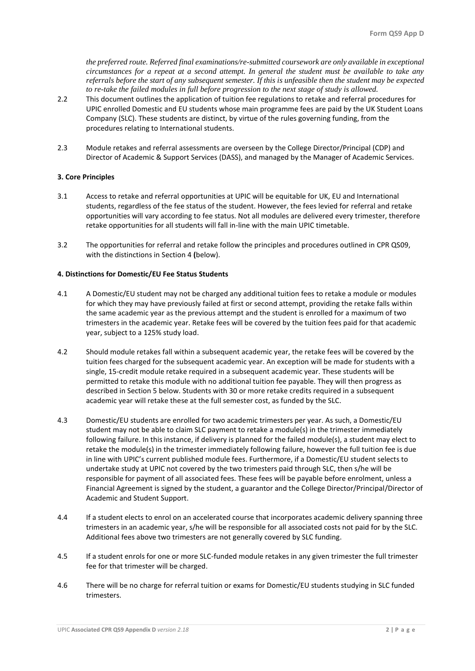*the preferred route. Referred final examinations/re-submitted coursework are only available in exceptional circumstances for a repeat at a second attempt. In general the student must be available to take any referrals before the start of any subsequent semester. If this is unfeasible then the student may be expected to re-take the failed modules in full before progression to the next stage of study is allowed.* 

- 2.2 This document outlines the application of tuition fee regulations to retake and referral procedures for UPIC enrolled Domestic and EU students whose main programme fees are paid by the UK Student Loans Company (SLC). These students are distinct, by virtue of the rules governing funding, from the procedures relating to International students.
- 2.3 Module retakes and referral assessments are overseen by the College Director/Principal (CDP) and Director of Academic & Support Services (DASS), and managed by the Manager of Academic Services.

## **3. Core Principles**

- 3.1 Access to retake and referral opportunities at UPIC will be equitable for UK, EU and International students, regardless of the fee status of the student. However, the fees levied for referral and retake opportunities will vary according to fee status. Not all modules are delivered every trimester, therefore retake opportunities for all students will fall in-line with the main UPIC timetable.
- 3.2 The opportunities for referral and retake follow the principles and procedures outlined in CPR QS09, with the distinctions in Section 4 **(**below).

### **4. Distinctions for Domestic/EU Fee Status Students**

- 4.1 A Domestic/EU student may not be charged any additional tuition fees to retake a module or modules for which they may have previously failed at first or second attempt, providing the retake falls within the same academic year as the previous attempt and the student is enrolled for a maximum of two trimesters in the academic year. Retake fees will be covered by the tuition fees paid for that academic year, subject to a 125% study load.
- 4.2 Should module retakes fall within a subsequent academic year, the retake fees will be covered by the tuition fees charged for the subsequent academic year. An exception will be made for students with a single, 15-credit module retake required in a subsequent academic year. These students will be permitted to retake this module with no additional tuition fee payable. They will then progress as described in Section 5 below. Students with 30 or more retake credits required in a subsequent academic year will retake these at the full semester cost, as funded by the SLC.
- 4.3 Domestic/EU students are enrolled for two academic trimesters per year. As such, a Domestic/EU student may not be able to claim SLC payment to retake a module(s) in the trimester immediately following failure. In this instance, if delivery is planned for the failed module(s), a student may elect to retake the module(s) in the trimester immediately following failure, however the full tuition fee is due in line with UPIC's current published module fees. Furthermore, if a Domestic/EU student selects to undertake study at UPIC not covered by the two trimesters paid through SLC, then s/he will be responsible for payment of all associated fees. These fees will be payable before enrolment, unless a Financial Agreement is signed by the student, a guarantor and the College Director/Principal/Director of Academic and Student Support.
- 4.4 If a student elects to enrol on an accelerated course that incorporates academic delivery spanning three trimesters in an academic year, s/he will be responsible for all associated costs not paid for by the SLC. Additional fees above two trimesters are not generally covered by SLC funding.
- 4.5 If a student enrols for one or more SLC-funded module retakes in any given trimester the full trimester fee for that trimester will be charged.
- 4.6 There will be no charge for referral tuition or exams for Domestic/EU students studying in SLC funded trimesters.